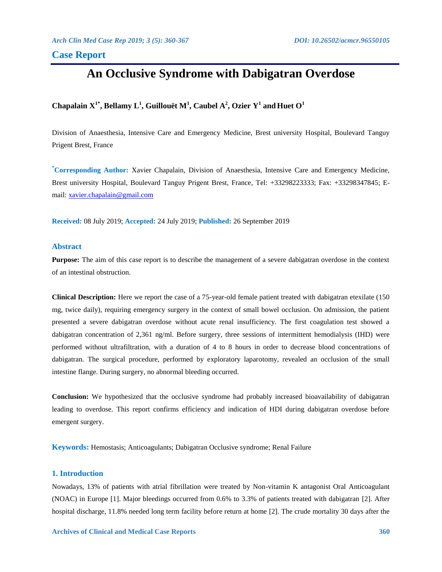# **Case Report**

# **An Occlusive Syndrome with Dabigatran Overdose**

# $\mathbf{C}$ hapalain  $\mathbf{X}^{1^*},$  Bellamy  $\mathbf{L}^1,$  Guillouët  $\mathbf{M}^1,$  Caubel  $\mathbf{A}^2,$  Ozier  $\mathbf{Y}^1$  and Huet  $\mathbf{O}^1$

Division of Anaesthesia, Intensive Care and Emergency Medicine, Brest university Hospital, Boulevard Tanguy Prigent Brest, France

**\*Corresponding Author:** Xavier Chapalain, Division of Anaesthesia, Intensive Care and Emergency Medicine, Brest university Hospital, Boulevard Tanguy Prigent Brest, France, Tel: +33298223333; Fax: +33298347845; Email: [xavier.chapalain@gmail.com](mailto:xavier.chapalain@gmail.com)

**Received:** 08 July 2019; **Accepted:** 24 July 2019; **Published:** 26 September 2019

### **Abstract**

**Purpose:** The aim of this case report is to describe the management of a severe dabigatran overdose in the context of an intestinal obstruction.

**Clinical Description:** Here we report the case of a 75-year-old female patient treated with dabigatran etexilate (150 mg, twice daily), requiring emergency surgery in the context of small bowel occlusion. On admission, the patient presented a severe dabigatran overdose without acute renal insufficiency. The first coagulation test showed a dabigatran concentration of 2,361 ng/ml. Before surgery, three sessions of intermittent hemodialysis (IHD) were performed without ultrafiltration, with a duration of 4 to 8 hours in order to decrease blood concentrations of dabigatran. The surgical procedure, performed by exploratory laparotomy, revealed an occlusion of the small intestine flange. During surgery, no abnormal bleeding occurred.

**Conclusion:** We hypothesized that the occlusive syndrome had probably increased bioavailability of dabigatran leading to overdose. This report confirms efficiency and indication of HDI during dabigatran overdose before emergent surgery.

**Keywords:** Hemostasis; Anticoagulants; Dabigatran Occlusive syndrome; Renal Failure

# **1. Introduction**

Nowadays, 13% of patients with atrial fibrillation were treated by Non-vitamin K antagonist Oral Anticoagulant (NOAC) in Europe [1]. Major bleedings occurred from 0.6% to 3.3% of patients treated with dabigatran [2]. After hospital discharge, 11.8% needed long term facility before return at home [2]. The crude mortality 30 days after the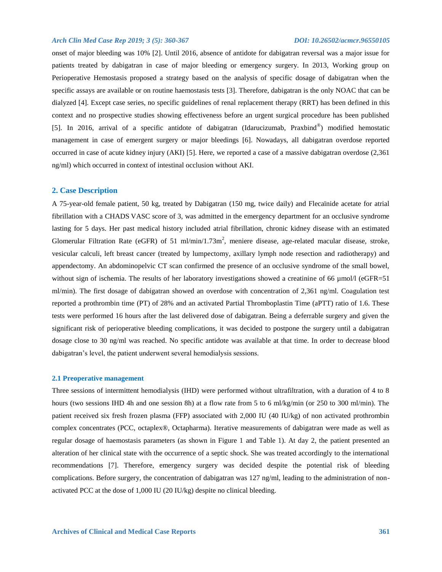onset of major bleeding was 10% [2]. Until 2016, absence of antidote for dabigatran reversal was a major issue for patients treated by dabigatran in case of major bleeding or emergency surgery. In 2013, Working group on Perioperative Hemostasis proposed a strategy based on the analysis of specific dosage of dabigatran when the specific assays are available or on routine haemostasis tests [3]. Therefore, dabigatran is the only NOAC that can be dialyzed [4]. Except case series, no specific guidelines of renal replacement therapy (RRT) has been defined in this context and no prospective studies showing effectiveness before an urgent surgical procedure has been published [5]. In 2016, arrival of a specific antidote of dabigatran (Idarucizumab, Praxbind® ) modified hemostatic management in case of emergent surgery or major bleedings [6]. Nowadays, all dabigatran overdose reported occurred in case of acute kidney injury (AKI) [5]. Here, we reported a case of a massive dabigatran overdose (2,361 ng/ml) which occurred in context of intestinal occlusion without AKI.

### **2. Case Description**

A 75-year-old female patient, 50 kg, treated by Dabigatran (150 mg, twice daily) and Flecaïnide acetate for atrial fibrillation with a CHADS VASC score of 3, was admitted in the emergency department for an occlusive syndrome lasting for 5 days. Her past medical history included atrial fibrillation, chronic kidney disease with an estimated Glomerular Filtration Rate (eGFR) of 51 ml/min/1.73m<sup>2</sup>, meniere disease, age-related macular disease, stroke, vesicular calculi, left breast cancer (treated by lumpectomy, axillary lymph node resection and radiotherapy) and appendectomy. An abdominopelvic CT scan confirmed the presence of an occlusive syndrome of the small bowel, without sign of ischemia. The results of her laboratory investigations showed a creatinine of 66 µmol/l (eGFR=51 ml/min). The first dosage of dabigatran showed an overdose with concentration of 2,361 ng/ml. Coagulation test reported a prothrombin time (PT) of 28% and an activated Partial Thromboplastin Time (aPTT) ratio of 1.6. These tests were performed 16 hours after the last delivered dose of dabigatran. Being a deferrable surgery and given the significant risk of perioperative bleeding complications, it was decided to postpone the surgery until a dabigatran dosage close to 30 ng/ml was reached. No specific antidote was available at that time. In order to decrease blood dabigatran's level, the patient underwent several hemodialysis sessions.

#### **2.1 Preoperative management**

Three sessions of intermittent hemodialysis (IHD) were performed without ultrafiltration, with a duration of 4 to 8 hours (two sessions IHD 4h and one session 8h) at a flow rate from 5 to 6 ml/kg/min (or 250 to 300 ml/min). The patient received six fresh frozen plasma (FFP) associated with 2,000 IU (40 IU/kg) of non activated prothrombin complex concentrates (PCC, octaplex®, Octapharma). Iterative measurements of dabigatran were made as well as regular dosage of haemostasis parameters (as shown in Figure 1 and Table 1). At day 2, the patient presented an alteration of her clinical state with the occurrence of a septic shock. She was treated accordingly to the international recommendations [7]. Therefore, emergency surgery was decided despite the potential risk of bleeding complications. Before surgery, the concentration of dabigatran was 127 ng/ml, leading to the administration of nonactivated PCC at the dose of 1,000 IU (20 IU/kg) despite no clinical bleeding.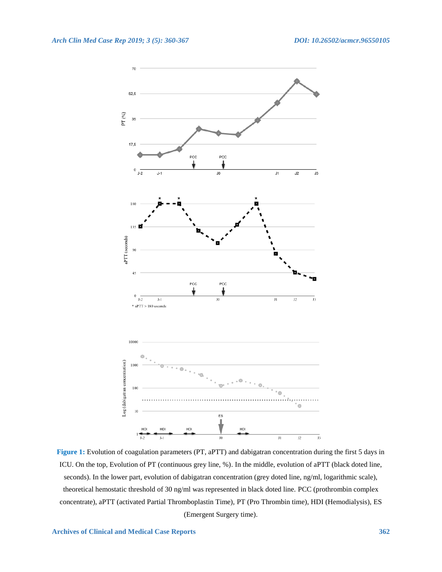

**Figure 1:** Evolution of coagulation parameters (PT, aPTT) and dabigatran concentration during the first 5 days in ICU. On the top, Evolution of PT (continuous grey line, %). In the middle, evolution of aPTT (black doted line, seconds). In the lower part, evolution of dabigatran concentration (grey doted line, ng/ml, logarithmic scale), theoretical hemostatic threshold of 30 ng/ml was represented in black doted line. PCC (prothrombin complex concentrate), aPTT (activated Partial Thromboplastin Time), PT (Pro Thrombin time), HDI (Hemodialysis), ES (Emergent Surgery time).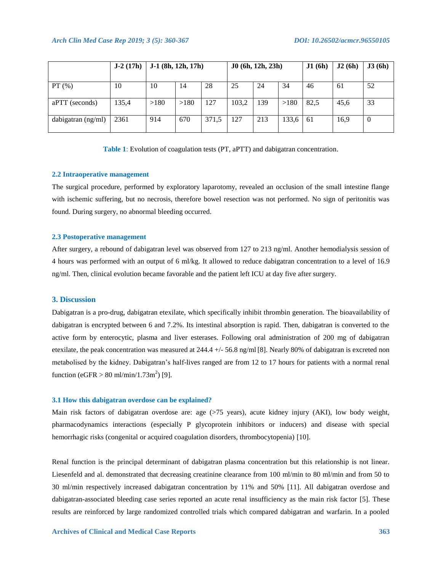|                    | $J-2(17h)$ | $J-1$ (8h, 12h, 17h) |      |       | J0(6h, 12h, 23h) |     |       | J1(6h) | J2(6h) | J3(6h)   |
|--------------------|------------|----------------------|------|-------|------------------|-----|-------|--------|--------|----------|
| $PT(\%)$           | 10         | 10                   | 14   | 28    | 25               | 24  | 34    | 46     | 61     | 52       |
| aPTT (seconds)     | 135,4      | >180                 | >180 | 127   | 103,2            | 139 | >180  | 82,5   | 45,6   | 33       |
| dabigatran (ng/ml) | 2361       | 914                  | 670  | 371,5 | 127              | 213 | 133,6 | 61     | 16.9   | $\theta$ |

**Table 1**: Evolution of coagulation tests (PT, aPTT) and dabigatran concentration.

## **2.2 Intraoperative management**

The surgical procedure, performed by exploratory laparotomy, revealed an occlusion of the small intestine flange with ischemic suffering, but no necrosis, therefore bowel resection was not performed. No sign of peritonitis was found. During surgery, no abnormal bleeding occurred.

#### **2.3 Postoperative management**

After surgery, a rebound of dabigatran level was observed from 127 to 213 ng/ml. Another hemodialysis session of 4 hours was performed with an output of 6 ml/kg. It allowed to reduce dabigatran concentration to a level of 16.9 ng/ml. Then, clinical evolution became favorable and the patient left ICU at day five after surgery.

#### **3. Discussion**

Dabigatran is a pro-drug, dabigatran etexilate, which specifically inhibit thrombin generation. The bioavailability of dabigatran is encrypted between 6 and 7.2%. Its intestinal absorption is rapid. Then, dabigatran is converted to the active form by enterocytic, plasma and liver esterases. Following oral administration of 200 mg of dabigatran etexilate, the peak concentration was measured at 244.4 +/- 56.8 ng/ml [8]. Nearly 80% of dabigatran is excreted non metabolised by the kidney. Dabigatran's half-lives ranged are from 12 to 17 hours for patients with a normal renal function (eGFR > 80 ml/min/1.73m<sup>2</sup>) [9].

#### **3.1 How this dabigatran overdose can be explained?**

Main risk factors of dabigatran overdose are: age  $(575 \text{ years})$ , acute kidney injury  $(AKI)$ , low body weight, pharmacodynamics interactions (especially P glycoprotein inhibitors or inducers) and disease with special hemorrhagic risks (congenital or acquired coagulation disorders, thrombocytopenia) [10].

Renal function is the principal determinant of dabigatran plasma concentration but this relationship is not linear. Liesenfeld and al. demonstrated that decreasing creatinine clearance from 100 ml/min to 80 ml/min and from 50 to 30 ml/min respectively increased dabigatran concentration by 11% and 50% [11]. All dabigatran overdose and dabigatran-associated bleeding case series reported an acute renal insufficiency as the main risk factor [5]. These results are reinforced by large randomized controlled trials which compared dabigatran and warfarin. In a pooled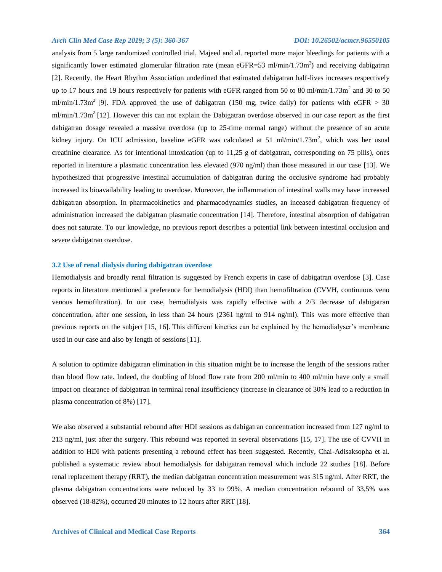analysis from 5 large randomized controlled trial, Majeed and al. reported more major bleedings for patients with a significantly lower estimated glomerular filtration rate (mean eGFR=53 ml/min/1.73m<sup>2</sup>) and receiving dabigatran [2]. Recently, the Heart Rhythm Association underlined that estimated dabigatran half-lives increases respectively up to 17 hours and 19 hours respectively for patients with eGFR ranged from 50 to 80 ml/min/1.73m<sup>2</sup> and 30 to 50 ml/min/1.73m<sup>2</sup> [9]. FDA approved the use of dabigatran (150 mg, twice daily) for patients with eGFR  $>$  30  $m/min/1.73m<sup>2</sup>$  [12]. However this can not explain the Dabigatran overdose observed in our case report as the first dabigatran dosage revealed a massive overdose (up to 25-time normal range) without the presence of an acute kidney injury. On ICU admission, baseline eGFR was calculated at 51 ml/min/1.73m<sup>2</sup>, which was her usual creatinine clearance. As for intentional intoxication (up to 11,25 g of dabigatran, corresponding on 75 pills), ones reported in literature a plasmatic concentration less elevated (970 ng/ml) than those measured in our case [13]. We hypothesized that progressive intestinal accumulation of dabigatran during the occlusive syndrome had probably increased its bioavailability leading to overdose. Moreover, the inflammation of intestinal walls may have increased dabigatran absorption. In pharmacokinetics and pharmacodynamics studies, an inceased dabigatran frequency of administration increased the dabigatran plasmatic concentration [14]. Therefore, intestinal absorption of dabigatran does not saturate. To our knowledge, no previous report describes a potential link between intestinal occlusion and severe dabigatran overdose.

#### **3.2 Use of renal dialysis during dabigatran overdose**

Hemodialysis and broadly renal filtration is suggested by French experts in case of dabigatran overdose [3]. Case reports in literature mentioned a preference for hemodialysis (HDI) than hemofiltration (CVVH, continuous veno venous hemofiltration). In our case, hemodialysis was rapidly effective with a 2/3 decrease of dabigatran concentration, after one session, in less than 24 hours (2361 ng/ml to 914 ng/ml). This was more effective than previous reports on the subject [15, 16]. This different kinetics can be explained by the hemodialyser's membrane used in our case and also by length of sessions[11].

A solution to optimize dabigatran elimination in this situation might be to increase the length of the sessions rather than blood flow rate. Indeed, the doubling of blood flow rate from 200 ml/min to 400 ml/min have only a small impact on clearance of dabigatran in terminal renal insufficiency (increase in clearance of 30% lead to a reduction in plasma concentration of 8%) [17].

We also observed a substantial rebound after HDI sessions as dabigatran concentration increased from 127 ng/ml to 213 ng/ml, just after the surgery. This rebound was reported in several observations [15, 17]. The use of CVVH in addition to HDI with patients presenting a rebound effect has been suggested. Recently, Chai-Adisaksopha et al. published a systematic review about hemodialysis for dabigatran removal which include 22 studies [18]. Before renal replacement therapy (RRT), the median dabigatran concentration measurement was 315 ng/ml. After RRT, the plasma dabigatran concentrations were reduced by 33 to 99%. A median concentration rebound of 33,5% was observed (18-82%), occurred 20 minutes to 12 hours after RRT [18].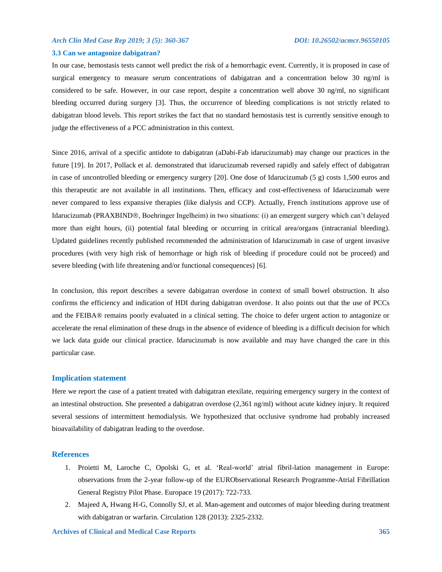#### **3.3 Can we antagonize dabigatran?**

In our case, hemostasis tests cannot well predict the risk of a hemorrhagic event. Currently, it is proposed in case of surgical emergency to measure serum concentrations of dabigatran and a concentration below 30 ng/ml is considered to be safe. However, in our case report, despite a concentration well above 30 ng/ml, no significant bleeding occurred during surgery [3]. Thus, the occurrence of bleeding complications is not strictly related to dabigatran blood levels. This report strikes the fact that no standard hemostasis test is currently sensitive enough to judge the effectiveness of a PCC administration in this context.

Since 2016, arrival of a specific antidote to dabigatran (aDabi-Fab idarucizumab) may change our practices in the future [19]. In 2017, Pollack et al. demonstrated that idarucizumab reversed rapidly and safely effect of dabigatran in case of uncontrolled bleeding or emergency surgery [20]. One dose of Idarucizumab (5 g) costs 1,500 euros and this therapeutic are not available in all institutions. Then, efficacy and cost-effectiveness of Idarucizumab were never compared to less expansive therapies (like dialysis and CCP). Actually, French institutions approve use of Idarucizumab (PRAXBIND®, Boehringer Ingelheim) in two situations: (i) an emergent surgery which can't delayed more than eight hours, (ii) potential fatal bleeding or occurring in critical area/organs (intracranial bleeding). Updated guidelines recently published recommended the administration of Idarucizumab in case of urgent invasive procedures (with very high risk of hemorrhage or high risk of bleeding if procedure could not be proceed) and severe bleeding (with life threatening and/or functional consequences) [6].

In conclusion, this report describes a severe dabigatran overdose in context of small bowel obstruction. It also confirms the efficiency and indication of HDI during dabigatran overdose. It also points out that the use of PCCs and the FEIBA® remains poorly evaluated in a clinical setting. The choice to defer urgent action to antagonize or accelerate the renal elimination of these drugs in the absence of evidence of bleeding is a difficult decision for which we lack data guide our clinical practice. Idarucizumab is now available and may have changed the care in this particular case.

#### **Implication statement**

Here we report the case of a patient treated with dabigatran etexilate, requiring emergency surgery in the context of an intestinal obstruction. She presented a dabigatran overdose (2,361 ng/ml) without acute kidney injury. It required several sessions of intermittent hemodialysis. We hypothesized that occlusive syndrome had probably increased bioavailability of dabigatran leading to the overdose.

#### **References**

- 1. Proietti M, Laroche C, Opolski G, et al. 'Real-world' atrial fibril-lation management in Europe: observations from the 2-year follow-up of the EURObservational Research Programme-Atrial Fibrillation General Registry Pilot Phase. Europace 19 (2017): 722-733.
- 2. Majeed A, Hwang H-G, Connolly SJ, et al. Man-agement and outcomes of major bleeding during treatment with dabigatran or warfarin. Circulation 128 (2013): 2325-2332.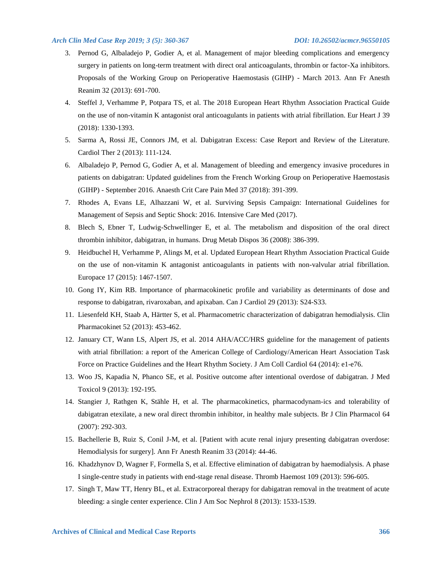- 3. Pernod G, Albaladejo P, Godier A, et al. Management of major bleeding complications and emergency surgery in patients on long-term treatment with direct oral anticoagulants, thrombin or factor-Xa inhibitors. Proposals of the Working Group on Perioperative Haemostasis (GIHP) - March 2013. Ann Fr Anesth Reanim 32 (2013): 691-700.
- 4. Steffel J, Verhamme P, Potpara TS, et al. The 2018 European Heart Rhythm Association Practical Guide on the use of non-vitamin K antagonist oral anticoagulants in patients with atrial fibrillation. Eur Heart J 39 (2018): 1330-1393.
- 5. Sarma A, Rossi JE, Connors JM, et al. Dabigatran Excess: Case Report and Review of the Literature. Cardiol Ther 2 (2013): 111-124.
- 6. Albaladejo P, Pernod G, Godier A, et al. Management of bleeding and emergency invasive procedures in patients on dabigatran: Updated guidelines from the French Working Group on Perioperative Haemostasis (GIHP) - September 2016. Anaesth Crit Care Pain Med 37 (2018): 391-399.
- 7. Rhodes A, Evans LE, Alhazzani W, et al. Surviving Sepsis Campaign: International Guidelines for Management of Sepsis and Septic Shock: 2016. Intensive Care Med (2017).
- 8. Blech S, Ebner T, Ludwig-Schwellinger E, et al. The metabolism and disposition of the oral direct thrombin inhibitor, dabigatran, in humans. Drug Metab Dispos 36 (2008): 386-399.
- 9. Heidbuchel H, Verhamme P, Alings M, et al. Updated European Heart Rhythm Association Practical Guide on the use of non-vitamin K antagonist anticoagulants in patients with non-valvular atrial fibrillation. Europace 17 (2015): 1467-1507.
- 10. Gong IY, Kim RB. Importance of pharmacokinetic profile and variability as determinants of dose and response to dabigatran, rivaroxaban, and apixaban. Can J Cardiol 29 (2013): S24-S33.
- 11. Liesenfeld KH, Staab A, Härtter S, et al. Pharmacometric characterization of dabigatran hemodialysis. Clin Pharmacokinet 52 (2013): 453-462.
- 12. January CT, Wann LS, Alpert JS, et al. 2014 AHA/ACC/HRS guideline for the management of patients with atrial fibrillation: a report of the American College of Cardiology/American Heart Association Task Force on Practice Guidelines and the Heart Rhythm Society. J Am Coll Cardiol 64 (2014): e1-e76.
- 13. Woo JS, Kapadia N, Phanco SE, et al. Positive outcome after intentional overdose of dabigatran. J Med Toxicol 9 (2013): 192-195.
- 14. Stangier J, Rathgen K, Stähle H, et al. The pharmacokinetics, pharmacodynam-ics and tolerability of dabigatran etexilate, a new oral direct thrombin inhibitor, in healthy male subjects. Br J Clin Pharmacol 64 (2007): 292-303.
- 15. Bachellerie B, Ruiz S, Conil J-M, et al. [Patient with acute renal injury presenting dabigatran overdose: Hemodialysis for surgery]. Ann Fr Anesth Reanim 33 (2014): 44-46.
- 16. Khadzhynov D, Wagner F, Formella S, et al. Effective elimination of dabigatran by haemodialysis. A phase I single-centre study in patients with end-stage renal disease. Thromb Haemost 109 (2013): 596-605.
- 17. Singh T, Maw TT, Henry BL, et al. Extracorporeal therapy for dabigatran removal in the treatment of acute bleeding: a single center experience. Clin J Am Soc Nephrol 8 (2013): 1533-1539.